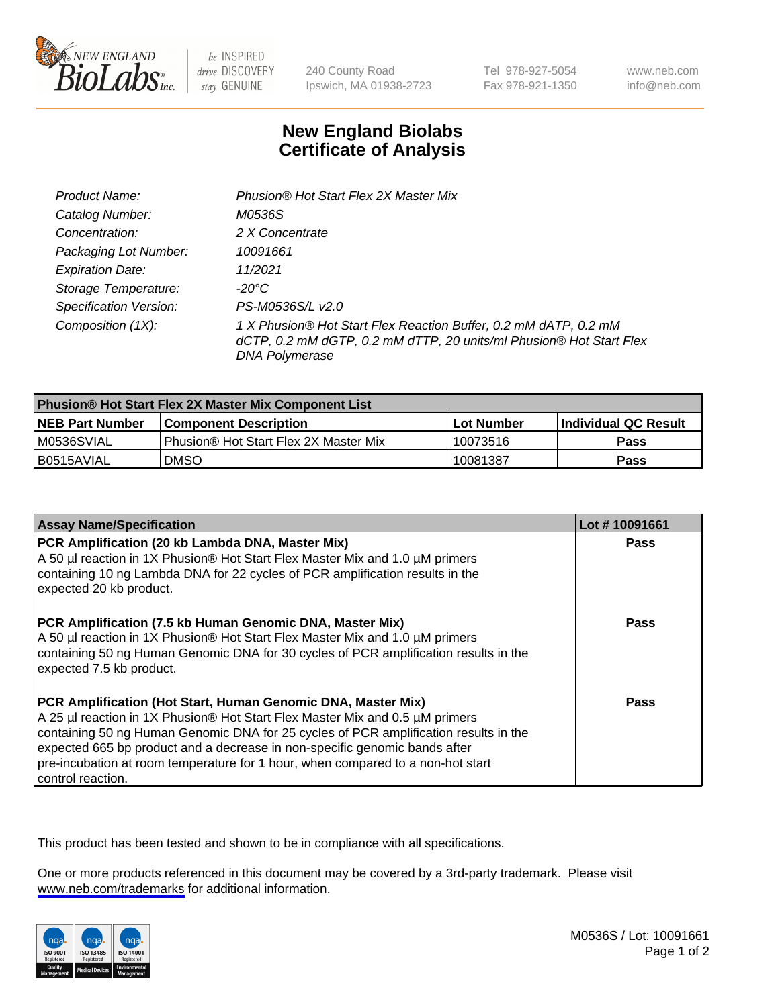

be INSPIRED drive DISCOVERY stay GENUINE

240 County Road Ipswich, MA 01938-2723 Tel 978-927-5054 Fax 978-921-1350

www.neb.com info@neb.com

## **New England Biolabs Certificate of Analysis**

| Product Name:           | Phusion® Hot Start Flex 2X Master Mix                                                                                                                     |
|-------------------------|-----------------------------------------------------------------------------------------------------------------------------------------------------------|
| Catalog Number:         | M0536S                                                                                                                                                    |
| Concentration:          | 2 X Concentrate                                                                                                                                           |
| Packaging Lot Number:   | 10091661                                                                                                                                                  |
| <b>Expiration Date:</b> | 11/2021                                                                                                                                                   |
| Storage Temperature:    | -20°C                                                                                                                                                     |
| Specification Version:  | PS-M0536S/L v2.0                                                                                                                                          |
| Composition (1X):       | 1 X Phusion® Hot Start Flex Reaction Buffer, 0.2 mM dATP, 0.2 mM<br>dCTP, 0.2 mM dGTP, 0.2 mM dTTP, 20 units/ml Phusion® Hot Start Flex<br>DNA Polymerase |

| <b>Phusion® Hot Start Flex 2X Master Mix Component List</b> |                                              |                   |                      |  |
|-------------------------------------------------------------|----------------------------------------------|-------------------|----------------------|--|
| <b>NEB Part Number</b>                                      | <b>Component Description</b>                 | <b>Lot Number</b> | Individual QC Result |  |
| M0536SVIAL                                                  | <b>Phusion® Hot Start Flex 2X Master Mix</b> | 10073516          | Pass                 |  |
| I B0515AVIAL                                                | <b>DMSO</b>                                  | 10081387          | Pass                 |  |

| <b>Assay Name/Specification</b>                                                                                                                                                                                                                                                                                                                                                                                            | Lot #10091661 |
|----------------------------------------------------------------------------------------------------------------------------------------------------------------------------------------------------------------------------------------------------------------------------------------------------------------------------------------------------------------------------------------------------------------------------|---------------|
| PCR Amplification (20 kb Lambda DNA, Master Mix)<br>A 50 µl reaction in 1X Phusion® Hot Start Flex Master Mix and 1.0 µM primers<br>containing 10 ng Lambda DNA for 22 cycles of PCR amplification results in the<br>expected 20 kb product.                                                                                                                                                                               | <b>Pass</b>   |
| PCR Amplification (7.5 kb Human Genomic DNA, Master Mix)<br>A 50 µl reaction in 1X Phusion® Hot Start Flex Master Mix and 1.0 µM primers<br>containing 50 ng Human Genomic DNA for 30 cycles of PCR amplification results in the<br>expected 7.5 kb product.                                                                                                                                                               | Pass          |
| PCR Amplification (Hot Start, Human Genomic DNA, Master Mix)<br>A 25 µl reaction in 1X Phusion® Hot Start Flex Master Mix and 0.5 µM primers<br>containing 50 ng Human Genomic DNA for 25 cycles of PCR amplification results in the<br>expected 665 bp product and a decrease in non-specific genomic bands after<br>pre-incubation at room temperature for 1 hour, when compared to a non-hot start<br>control reaction. | Pass          |

This product has been tested and shown to be in compliance with all specifications.

One or more products referenced in this document may be covered by a 3rd-party trademark. Please visit <www.neb.com/trademarks>for additional information.